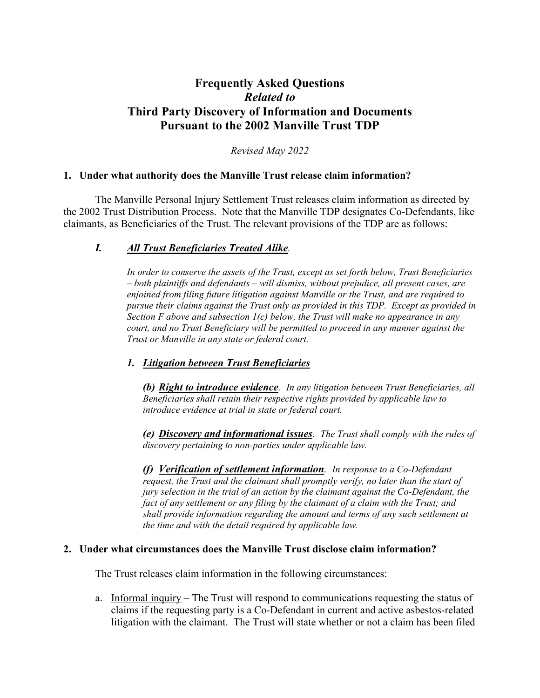# **Frequently Asked Questions**  *Related to*  **Third Party Discovery of Information and Documents Pursuant to the 2002 Manville Trust TDP**

*Revised May 2022* 

## **1. Under what authority does the Manville Trust release claim information?**

The Manville Personal Injury Settlement Trust releases claim information as directed by the 2002 Trust Distribution Process. Note that the Manville TDP designates Co-Defendants, like claimants, as Beneficiaries of the Trust. The relevant provisions of the TDP are as follows:

## *I. All Trust Beneficiaries Treated Alike.*

*In order to conserve the assets of the Trust, except as set forth below, Trust Beneficiaries – both plaintiffs and defendants – will dismiss, without prejudice, all present cases, are enjoined from filing future litigation against Manville or the Trust, and are required to pursue their claims against the Trust only as provided in this TDP. Except as provided in Section F above and subsection 1(c) below, the Trust will make no appearance in any court, and no Trust Beneficiary will be permitted to proceed in any manner against the Trust or Manville in any state or federal court.* 

## *1. Litigation between Trust Beneficiaries*

*(b) Right to introduce evidence. In any litigation between Trust Beneficiaries, all Beneficiaries shall retain their respective rights provided by applicable law to introduce evidence at trial in state or federal court.* 

*(e) Discovery and informational issues. The Trust shall comply with the rules of discovery pertaining to non-parties under applicable law.*

*(f) Verification of settlement information. In response to a Co-Defendant request, the Trust and the claimant shall promptly verify, no later than the start of jury selection in the trial of an action by the claimant against the Co-Defendant, the fact of any settlement or any filing by the claimant of a claim with the Trust; and shall provide information regarding the amount and terms of any such settlement at the time and with the detail required by applicable law.* 

## **2. Under what circumstances does the Manville Trust disclose claim information?**

The Trust releases claim information in the following circumstances:

a. Informal inquiry – The Trust will respond to communications requesting the status of claims if the requesting party is a Co-Defendant in current and active asbestos-related litigation with the claimant. The Trust will state whether or not a claim has been filed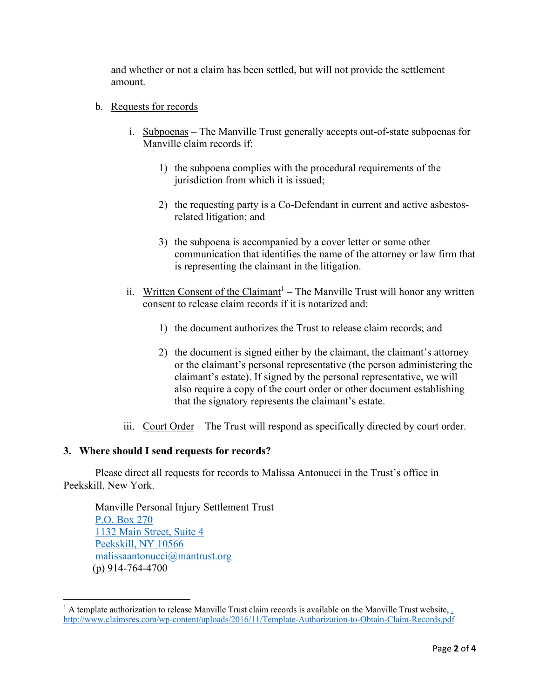and whether or not a claim has been settled, but will not provide the settlement amount.

- b. Requests for records
	- i. Subpoenas The Manville Trust generally accepts out-of-state subpoenas for Manville claim records if:
		- 1) the subpoena complies with the procedural requirements of the jurisdiction from which it is issued;
		- 2) the requesting party is a Co-Defendant in current and active asbestosrelated litigation; and
		- 3) the subpoena is accompanied by a cover letter or some other communication that identifies the name of the attorney or law firm that is representing the claimant in the litigation.
	- ii. Written Consent of the Claimant<sup>1</sup> The Manville Trust will honor any written consent to release claim records if it is notarized and:
		- 1) the document authorizes the Trust to release claim records; and
		- 2) the document is signed either by the claimant, the claimant's attorney or the claimant's personal representative (the person administering the claimant's estate). If signed by the personal representative, we will also require a copy of the court order or other document establishing that the signatory represents the claimant's estate.
	- iii. Court Order The Trust will respond as specifically directed by court order.

## **3. Where should I send requests for records?**

Please direct all requests for records to Malissa Antonucci in the Trust's office in Peekskill, New York.

Manville Personal Injury Settlement Trust P.O. Box 270 1132 Main Street, Suite 4 Peekskill, NY 10566 malissaantonucci@mantrust.org (p) 914-764-4700

<sup>&</sup>lt;sup>1</sup> A template authorization to release Manville Trust claim records is available on the Manville Trust website, http://www.claimsres.com/wp-content/uploads/2016/11/Template-Authorization-to-Obtain-Claim-Records.pdf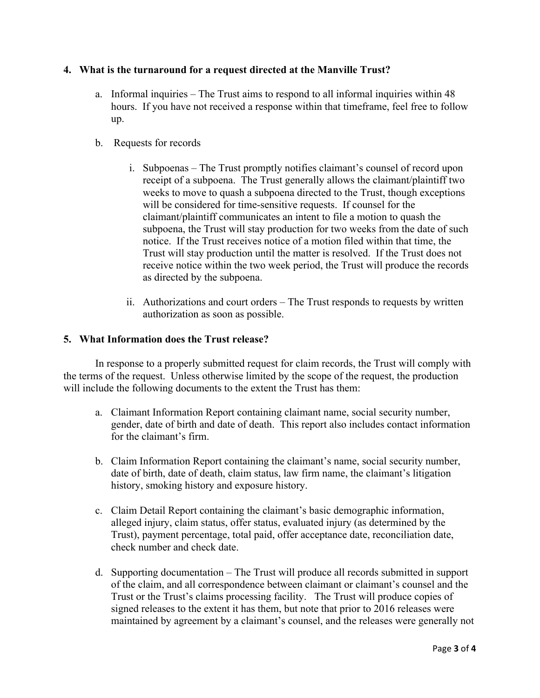## **4. What is the turnaround for a request directed at the Manville Trust?**

- a. Informal inquiries The Trust aims to respond to all informal inquiries within 48 hours. If you have not received a response within that timeframe, feel free to follow up.
- b. Requests for records
	- i. Subpoenas The Trust promptly notifies claimant's counsel of record upon receipt of a subpoena. The Trust generally allows the claimant/plaintiff two weeks to move to quash a subpoena directed to the Trust, though exceptions will be considered for time-sensitive requests. If counsel for the claimant/plaintiff communicates an intent to file a motion to quash the subpoena, the Trust will stay production for two weeks from the date of such notice. If the Trust receives notice of a motion filed within that time, the Trust will stay production until the matter is resolved. If the Trust does not receive notice within the two week period, the Trust will produce the records as directed by the subpoena.
	- ii. Authorizations and court orders The Trust responds to requests by written authorization as soon as possible.

## **5. What Information does the Trust release?**

In response to a properly submitted request for claim records, the Trust will comply with the terms of the request. Unless otherwise limited by the scope of the request, the production will include the following documents to the extent the Trust has them:

- a. Claimant Information Report containing claimant name, social security number, gender, date of birth and date of death. This report also includes contact information for the claimant's firm.
- b. Claim Information Report containing the claimant's name, social security number, date of birth, date of death, claim status, law firm name, the claimant's litigation history, smoking history and exposure history.
- c. Claim Detail Report containing the claimant's basic demographic information, alleged injury, claim status, offer status, evaluated injury (as determined by the Trust), payment percentage, total paid, offer acceptance date, reconciliation date, check number and check date.
- d. Supporting documentation The Trust will produce all records submitted in support of the claim, and all correspondence between claimant or claimant's counsel and the Trust or the Trust's claims processing facility. The Trust will produce copies of signed releases to the extent it has them, but note that prior to 2016 releases were maintained by agreement by a claimant's counsel, and the releases were generally not